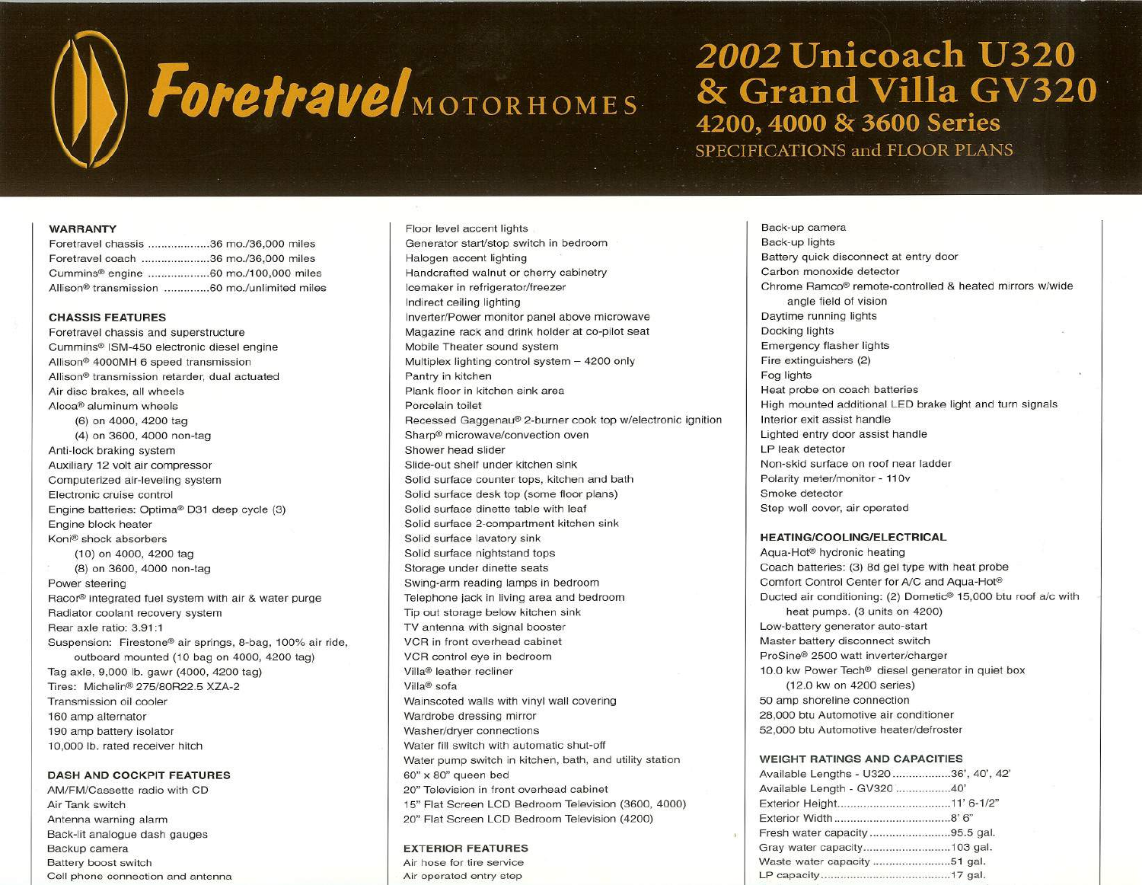

# 2002 Unicoach U320 & Grand Villa GV320 4200, 4000 & 3600 Series SPECIFICATIONS and FLOOR PLANS

## WARRANTY

| Foretravel chassis 36 mo./36,000 miles                   |  |
|----------------------------------------------------------|--|
| Foretravel coach 36 mo./36,000 miles                     |  |
| Cummins <sup>®</sup> engine 60 mo./100,000 miles         |  |
| Allison <sup>®</sup> transmission 60 mo./unlimited miles |  |

## CHASSIS FEATURES

Foretravel chassis and superstructure Cummins@ ISM-450 electronic diesel engine Allison@ 4000MH 6 speed transmission Allison@ transmission retarder. dual actuated Air disc brakes. all wheels Alcoa@ aluminum wheels (6) on 4000. 4200 tag (4) on 3600. 4000 non-tag Anti-lock braking system Auxiliary 12 volt air compressor Computerized air-leveling system Electronic cruise control Engine batteries: Optima@ D31 deep cycle (3) Engine block heater Koni@ shock absorbers (10) on 4000. 4200 tag (8) on 3600. 4000 non-tag Power steering Racor@ integrated fuel system with air & water purge Radiator coolant recovery system Rear axle ratio: 3.91:1 Suspension: Firestone<sup>®</sup> air springs, 8-bag, 100% air ride, outboard mounted (10 bag on 4000. 4200 tag) Tag axle. 9.000 lb. gawr (4000. 4200 tag) Tires: Michelin® 275/80R22.5 XZA-2 Transmission oil cooler 160 amp alternator 190 amp battery isolator 10.000 lb. rated receiver hitch

## DASH AND COCKPIT FEATURES

AM/FM/Cassette radio with CD Air Tank switch Antenna warning alarm Back-lit analogue dash gauges Backup camera Battery boost switch Cell phone connection and antenna

Floor level accent lights Generator start/stop switch in bedroom Halogen accent lighting Handcrafted walnut or cherry cabinetry Ice maker in refrigerator/freezer Indirect ceiling lighting Inverter/Power monitor panel above microwave Magazine rack and drink holder at co-pilot seat Mobile Theater sound system Multiplex lighting control system - 4200 only Pantry in kitchen Plank floor in kitchen sink area Porcelain toilet Recessed Gaggenau® 2-burner cook top w/electronic ignition Sharp<sup>®</sup> microwave/convection oven Shower head slider Slide-out shelf under kitchen sink Solid surface counter tops. kitchen and bath Solid surface desk top (some floor plans) Solid surface dinette table with leaf Solid surface 2-compartment kitchen sink Solid surface lavatory sink Solid surface nightstand tops Storage under dinette seats Swing-arm reading lamps in bedroom Telephone jack in living area and bedroom Tip out storage below kitchen sink TV antenna with signal booster VCR in front overhead cabinet VCR control eye in bedroom Villa@ leather recliner Villa@ sofa Wainscoted walls with vinyl wall covering Wardrobe dressing mirror Washer/dryer connections Water fill switch with automatic shut-off Water pump switch in kitchen. bath. and utility station 60" x 80" queen bed 20" Television in front overhead cabinet 15" Flat Screen LCD Bedroom Television (3600. 4000) 20" Flat Screen LCD Bedroom Television (4200)

## EXTERIOR FEATURES

Air hose for tire service Air operated entry step

Back-up camera Back-up lights Battery quick disconnect at entry door Carbon monoxide detector Chrome Ramco<sup>®</sup> remote-controlled & heated mirrors w/wide angle field of vision Daytime running lights Docking lights Emergency flasher lights Fire extinguishers (2) Fog lights Heat probe on coach batteries High mounted additional LED brake light and turn signals Interior exit assist handle Lighted entry door assist handle LP leak detector Non-skid surface on roof near ladder Polarity meter/monitor - 110v Smoke detector Step well cover. air operated

## HEATING/COOLING/ELECTRICAL

Aqua-Hot<sup>®</sup> hydronic heating Coach batteries: (3) 8d gel type with heat probe Comfort Control Center for A/C and Aqua-Hot<sup>®</sup> Ducted air conditioning: (2) Dometic@ 15.000 btu roof *alc* with heat pumps. (3 units on 4200) Low-battery generator auto-start Master battery disconnect switch ProSine@ 2500 watt inverter/charger 10.0 kw Power Tech<sup>®</sup> diesel generator in quiet box (12.0 kw on 4200 series) 50 amp shoreline connection 28.000 btu Automotive air conditioner 52.000 btu Automotive heater/defroster

## WEIGHT RATINGS AND CAPACITIES

| Available Lengths - U320 36', 40', 42' |  |
|----------------------------------------|--|
| Available Length - GV320 40'           |  |
|                                        |  |
|                                        |  |
| Fresh water capacity 95.5 gal.         |  |
| Gray water capacity103 gal.            |  |
|                                        |  |
|                                        |  |
|                                        |  |